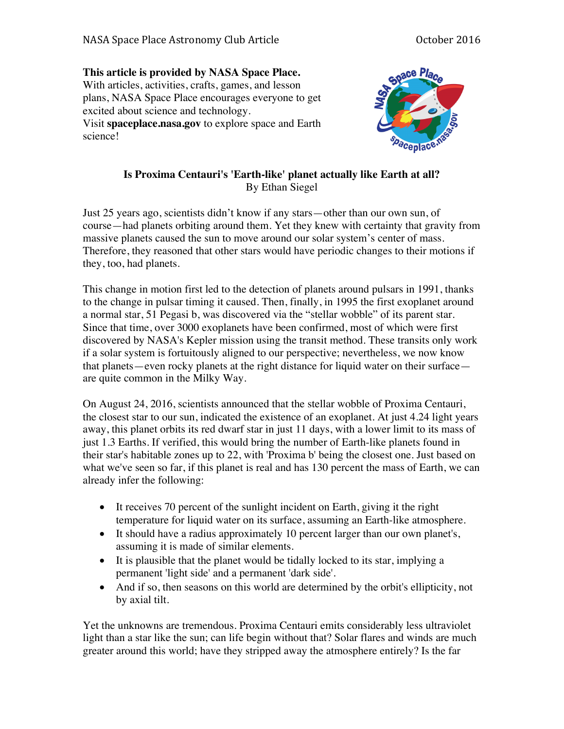## **This article is provided by NASA Space Place.** With articles, activities, crafts, games, and lesson plans, NASA Space Place encourages everyone to get excited about science and technology. Visit **spaceplace.nasa.gov** to explore space and Earth

science!



## **Is Proxima Centauri's 'Earth-like' planet actually like Earth at all?** By Ethan Siegel

Just 25 years ago, scientists didn't know if any stars—other than our own sun, of course—had planets orbiting around them. Yet they knew with certainty that gravity from massive planets caused the sun to move around our solar system's center of mass. Therefore, they reasoned that other stars would have periodic changes to their motions if they, too, had planets.

This change in motion first led to the detection of planets around pulsars in 1991, thanks to the change in pulsar timing it caused. Then, finally, in 1995 the first exoplanet around a normal star, 51 Pegasi b, was discovered via the "stellar wobble" of its parent star. Since that time, over 3000 exoplanets have been confirmed, most of which were first discovered by NASA's Kepler mission using the transit method. These transits only work if a solar system is fortuitously aligned to our perspective; nevertheless, we now know that planets—even rocky planets at the right distance for liquid water on their surface are quite common in the Milky Way.

On August 24, 2016, scientists announced that the stellar wobble of Proxima Centauri, the closest star to our sun, indicated the existence of an exoplanet. At just 4.24 light years away, this planet orbits its red dwarf star in just 11 days, with a lower limit to its mass of just 1.3 Earths. If verified, this would bring the number of Earth-like planets found in their star's habitable zones up to 22, with 'Proxima b' being the closest one. Just based on what we've seen so far, if this planet is real and has 130 percent the mass of Earth, we can already infer the following:

- It receives 70 percent of the sunlight incident on Earth, giving it the right temperature for liquid water on its surface, assuming an Earth-like atmosphere.
- It should have a radius approximately 10 percent larger than our own planet's, assuming it is made of similar elements.
- It is plausible that the planet would be tidally locked to its star, implying a permanent 'light side' and a permanent 'dark side'.
- And if so, then seasons on this world are determined by the orbit's ellipticity, not by axial tilt.

Yet the unknowns are tremendous. Proxima Centauri emits considerably less ultraviolet light than a star like the sun; can life begin without that? Solar flares and winds are much greater around this world; have they stripped away the atmosphere entirely? Is the far